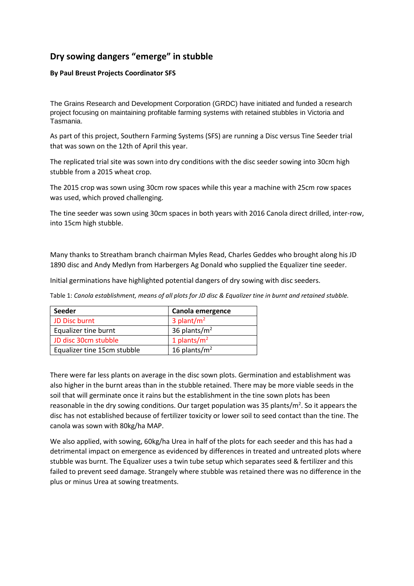## **Dry sowing dangers "emerge" in stubble**

## **By Paul Breust Projects Coordinator SFS**

The Grains Research and Development Corporation (GRDC) have initiated and funded a research project focusing on maintaining profitable farming systems with retained stubbles in Victoria and Tasmania.

As part of this project, Southern Farming Systems (SFS) are running a Disc versus Tine Seeder trial that was sown on the 12th of April this year.

The replicated trial site was sown into dry conditions with the disc seeder sowing into 30cm high stubble from a 2015 wheat crop.

The 2015 crop was sown using 30cm row spaces while this year a machine with 25cm row spaces was used, which proved challenging.

The tine seeder was sown using 30cm spaces in both years with 2016 Canola direct drilled, inter-row, into 15cm high stubble.

Many thanks to Streatham branch chairman Myles Read, Charles Geddes who brought along his JD 1890 disc and Andy Medlyn from Harbergers Ag Donald who supplied the Equalizer tine seeder.

Initial germinations have highlighted potential dangers of dry sowing with disc seeders.

Table 1: *Canola establishment, means of all plots for JD disc & Equalizer tine in burnt and retained stubble.*

| Seeder                      | Canola emergence         |
|-----------------------------|--------------------------|
| JD Disc burnt               | $3$ plant/m <sup>2</sup> |
| Equalizer tine burnt        | 36 plants/ $m2$          |
| JD disc 30cm stubble        | 1 plants/ $m2$           |
| Equalizer tine 15cm stubble | 16 plants/ $m2$          |

There were far less plants on average in the disc sown plots. Germination and establishment was also higher in the burnt areas than in the stubble retained. There may be more viable seeds in the soil that will germinate once it rains but the establishment in the tine sown plots has been reasonable in the dry sowing conditions. Our target population was 35 plants/ $m^2$ . So it appears the disc has not established because of fertilizer toxicity or lower soil to seed contact than the tine. The canola was sown with 80kg/ha MAP.

We also applied, with sowing, 60kg/ha Urea in half of the plots for each seeder and this has had a detrimental impact on emergence as evidenced by differences in treated and untreated plots where stubble was burnt. The Equalizer uses a twin tube setup which separates seed & fertilizer and this failed to prevent seed damage. Strangely where stubble was retained there was no difference in the plus or minus Urea at sowing treatments.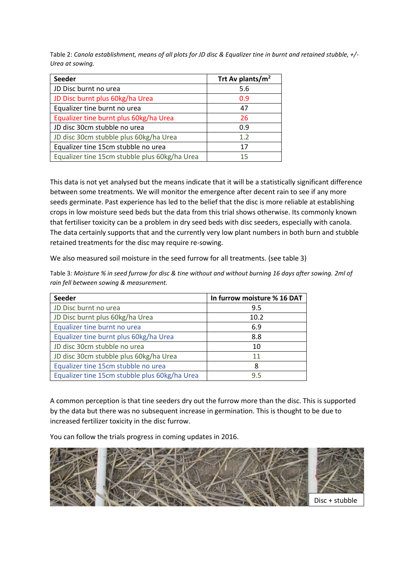Table 2: *Canola establishment, means of all plots for JD disc & Equalizer tine in burnt and retained stubble, +/- Urea at sowing.*

| <b>Seeder</b>                                 | Trt Av plants/m <sup>2</sup> |
|-----------------------------------------------|------------------------------|
| JD Disc burnt no urea                         | 5.6                          |
| JD Disc burnt plus 60kg/ha Urea               | 0.9                          |
| Equalizer tine burnt no urea                  | 47                           |
| Equalizer tine burnt plus 60kg/ha Urea        | 26                           |
| JD disc 30cm stubble no urea                  | 0.9                          |
| JD disc 30cm stubble plus 60kg/ha Urea        | 1.2                          |
| Equalizer tine 15cm stubble no urea           | 17                           |
| Equalizer tine 15cm stubble plus 60kg/ha Urea | 15                           |

This data is not yet analysed but the means indicate that it will be a statistically significant difference between some treatments. We will monitor the emergence after decent rain to see if any more seeds germinate. Past experience has led to the belief that the disc is more reliable at establishing crops in low moisture seed beds but the data from this trial shows otherwise. Its commonly known that fertiliser toxicity can be a problem in dry seed beds with disc seeders, especially with canola. The data certainly supports that and the currently very low plant numbers in both burn and stubble retained treatments for the disc may require re-sowing.

We also measured soil moisture in the seed furrow for all treatments. (see table 3)

Table 3*: Moisture % in seed furrow for disc & tine without and without burning 16 days after sowing. 2ml of rain fell between sowing & measurement.*

| <b>Seeder</b>                                 | In furrow moisture % 16 DAT |
|-----------------------------------------------|-----------------------------|
| JD Disc burnt no urea                         | 9.5                         |
| JD Disc burnt plus 60kg/ha Urea               | 10.2                        |
| Equalizer tine burnt no urea                  | 6.9                         |
| Equalizer tine burnt plus 60kg/ha Urea        | 8.8                         |
| JD disc 30cm stubble no urea                  | 10                          |
| JD disc 30cm stubble plus 60kg/ha Urea        | 11                          |
| Equalizer tine 15cm stubble no urea           | 8                           |
| Equalizer tine 15cm stubble plus 60kg/ha Urea | 9.5                         |

A common perception is that tine seeders dry out the furrow more than the disc. This is supported by the data but there was no subsequent increase in germination. This is thought to be due to increased fertilizer toxicity in the disc furrow.

You can follow the trials progress in coming updates in 2016.